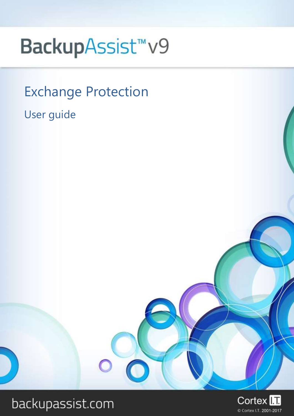# BackupAssist<sup>™</sup>v9

Exchange Protection

User guide

# backupassist.com

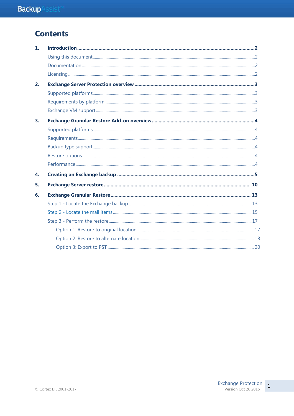# **Contents**

| 1.             |  |
|----------------|--|
|                |  |
|                |  |
|                |  |
| 2.             |  |
|                |  |
|                |  |
|                |  |
| 3 <sub>1</sub> |  |
|                |  |
|                |  |
|                |  |
|                |  |
|                |  |
| 4.             |  |
| 5.             |  |
| 6.             |  |
|                |  |
|                |  |
|                |  |
|                |  |
|                |  |
|                |  |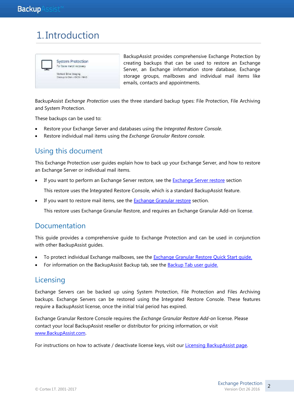# 1. Introduction



BackupAssist provides comprehensive Exchange Protection by creating backups that can be used to restore an Exchange Server, an Exchange information store database, Exchange storage groups, mailboxes and individual mail items like emails, contacts and appointments.

BackupAssist *Exchange Protection* uses the three standard backup types: File Protection, File Archiving and System Protection.

These backups can be used to:

- Restore your Exchange Server and databases using the *Integrated Restore Console*.
- Restore individual mail items using the *Exchange Granular Restore console*.

# Using this document

This Exchange Protection user guides explain how to back up your Exchange Server, and how to restore an Exchange Server or individual mail items.

If you want to perform an Exchange Server restore, see the [Exchange Server restore](#page-10-0) section

This restore uses the Integrated Restore Console, which is a standard BackupAssist feature.

If you want to restore mail items, see the [Exchange Granular restore](#page-13-0) section.

This restore uses Exchange Granular Restore, and requires an Exchange Granular Add-on license.

### Documentation

This guide provides a comprehensive guide to Exchange Protection and can be used in conjunction with other BackupAssist guides.

- To protect individual Exchange mailboxes, see the **Exchange Granular Restore Quick Start guide**.
- For information on the BackupAssist Backup tab, see the **Backup Tab user quide.**

### **Licensing**

Exchange Servers can be backed up using System Protection, File Protection and Files Archiving backups. Exchange Servers can be restored using the Integrated Restore Console. These features require a BackupAssist license, once the initial trial period has expired.

Exchange Granular Restore Console requires the *Exchange Granular Restore Add-on* license. Please contact your local BackupAssist reseller or distributor for pricing information, or visit [www.BackupAssist.com.](http://www.backupassist.com/)

For instructions on how to activate / deactivate license keys, visit our [Licensing BackupAssist page.](http://www.backupassist.com/education/v9/backupassist/backupassist-licensing-guide.html)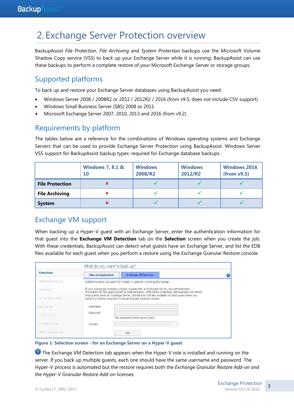# 2. Exchange Server Protection overview

BackupAssist *File Protection*, *File Archiving* and *System Protection* backups use the Microsoft Volume Shadow Copy service (VSS) to back up your Exchange Server while it is running. BackupAssist can use these backups to perform a complete restore of your Microsoft Exchange Server or storage groups.

### Supported platforms

To back up and restore your Exchange Server databases using BackupAssist you need:

- Windows Server 2008 / 2008R2 or 2012 / 2012R2 / 2016 (from v9.5, does not include CSV support)
- Windows Small Business Server (SBS) 2008 or 2011
- Microsoft Exchange Server 2007, 2010, 2013 and 2016 (from v9.2)

### Requirements by platform

The tables below are a reference for the combinations of Windows operating systems and Exchange Servers that can be used to provide Exchange Server Protection using BackupAssist. Windows Server VSS support for BackupAssist backup types: required for Exchange database backups.

|                        | <b>Windows 7, 8.1 &amp;</b><br><b>10</b> | <b>Windows</b><br>2008/R2 | <b>Windows</b><br>2012/R2 | <b>Windows 2016</b><br>(from v9.5) |
|------------------------|------------------------------------------|---------------------------|---------------------------|------------------------------------|
| <b>File Protection</b> |                                          |                           |                           |                                    |
| <b>File Archiving</b>  | ×                                        |                           |                           |                                    |
| <b>System</b>          | ×                                        |                           |                           |                                    |

### <span id="page-3-0"></span>Exchange VM support

When backing up a Hyper-V guest with an Exchange Server, enter the authentication information for that guest into the **Exchange VM Detection** tab on the **Selection** screen when you create the job. With these credentials, BackupAssist can detect what guests have an Exchange Server, and list the EDB files available for each guest when you perform a restore using the Exchange Granular Restore console.

| <b>Selections</b>                   | <b>Files and Applications</b> | Exchange VM Detection                                                                                                                                                                         |  |
|-------------------------------------|-------------------------------|-----------------------------------------------------------------------------------------------------------------------------------------------------------------------------------------------|--|
|                                     |                               |                                                                                                                                                                                               |  |
| Destination media                   |                               | Authentication account for Hyper-V quests running Exchange                                                                                                                                    |  |
| Schedule                            |                               | If your backup job contains a Hyper-V guest with an Exchange Server, the authentication<br>information for the quest should be entered below. With these credentials, BackupAssist can detect |  |
| Set up destination                  |                               | what quests have an Exchange Server, and list the EDB files available for each quest when you<br>perform a restore using the Exchange Granular Restore console,                               |  |
|                                     |                               |                                                                                                                                                                                               |  |
|                                     | Username:                     |                                                                                                                                                                                               |  |
|                                     | Password:                     |                                                                                                                                                                                               |  |
| Mail server<br><b>Notifications</b> |                               | This password should never expire.                                                                                                                                                            |  |
| Prepare media                       | Domain:                       | w                                                                                                                                                                                             |  |

#### **Figure 1: Selection screen - for an Exchange Server on a Hyper-V guest**

**The Exchange VM Detection tab appears when the Hyper-V role is installed and running on the** server. If you back up multiple guests, each one should have the same username and password. The Hyper-V process is automated but the restore requires both the *Exchange Granular Restore Add-on and the Hyper-V Granular Restore Add-on* licenses.

3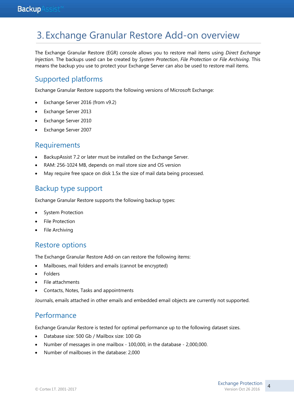# 3. Exchange Granular Restore Add-on overview

The Exchange Granular Restore (EGR) console allows you to restore mail items using *Direct Exchange Injection*. The backups used can be created by *System Protection*, *File Protection* or *File Archiving*. This means the backup you use to protect your Exchange Server can also be used to restore mail items.

# Supported platforms

Exchange Granular Restore supports the following versions of Microsoft Exchange:

- Exchange Server 2016 (from v9.2)
- Exchange Server 2013
- Exchange Server 2010
- Exchange Server 2007

# **Requirements**

- BackupAssist 7.2 or later must be installed on the Exchange Server.
- RAM: 256-1024 MB, depends on mail store size and OS version
- May require free space on disk 1.5x the size of mail data being processed.

# Backup type support

Exchange Granular Restore supports the following backup types:

- System Protection
- File Protection
- File Archiving

# Restore options

The Exchange Granular Restore Add-on can restore the following items:

- Mailboxes, mail folders and emails (cannot be encrypted)
- Folders
- File attachments
- Contacts, Notes, Tasks and appointments

Journals, emails attached in other emails and embedded email objects are currently not supported.

# **Performance**

Exchange Granular Restore is tested for optimal performance up to the following dataset sizes.

- Database size: 500 Gb / Mailbox size: 100 Gb
- Number of messages in one mailbox 100,000, in the database 2,000,000.
- Number of mailboxes in the database: 2,000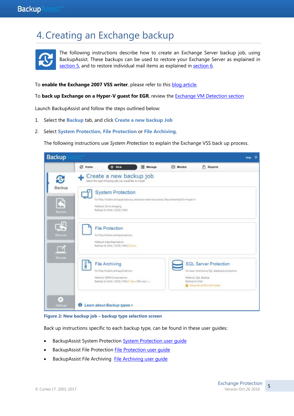# 4.Creating an Exchange backup



The following instructions describe how to create an Exchange Server backup job, using BackupAssist. These backups can be used to restore your Exchange Server as explained in [section 5,](#page-10-0) and to restore individual mail items as explained in [section 6.](#page-13-0)

To **enable the Exchange 2007 VSS writer**, please refer to this [blog article.](http://www.backupassist.com/blog/support/how-to-enable-the-exchange-vss-writer/)

To **back up Exchange on a Hyper-V guest for EGR**, review the [Exchange VM Detection section](#page-3-0)

Launch BackupAssist and follow the steps outlined below:

- 1. Select the **Backup** tab, and click **Create a new backup Job**
- 2. Select **System Protection, File Protection** or **File Archiving**.

The following instructions use *System Protection* to explain the Exchange VSS back up process.





Back up instructions specific to each backup type, can be found in these user guides:

- BackupAssist System Protection [System Protection user guide](http://www.backupassist.com/education/v9/backupassist/system-protection-guide.html)
- BackupAssist File Protection [File Protection user guide](http://www.backupassist.com/education/v9/backupassist/file-protection-guide.html)
- **BackupAssist File Archiving File Archiving user quide**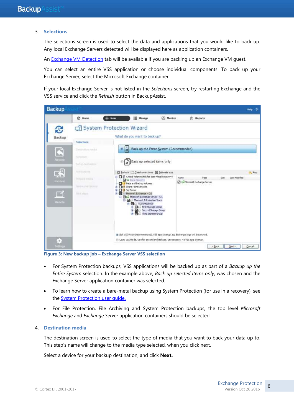#### 3. **Selections**

The selections screen is used to select the data and applications that you would like to back up. Any local Exchange Servers detected will be displayed here as application containers.

An **Exchange VM Detection** tab will be available if you are backing up an Exchange VM guest.

You can select an entire VSS application or choose individual components. To back up your Exchange Server, select the Microsoft Exchange container.

If your local Exchange Server is not listed in the *Selections* screen, try restarting Exchange and the VSS service and click the *Refresh* button in BackupAssist.



**Figure 3: New backup job – Exchange Server VSS selection**

- For System Protection backups, VSS applications will be backed up as part of a *Backup up the Entire System* selection. In the example above, *Back up selected items only*, was chosen and the Exchange Server application container was selected.
- To learn how to create a bare-metal backup using System Protection (for use in a recovery), see the **System Protection user quide.**
- For File Protection, File Archiving and System Protection backups, the top level *Microsoft Exchange* and *Exchange Server* application containers should be selected.

#### 4. **Destination media**

The destination screen is used to select the type of media that you want to back your data up to. This step's name will change to the media type selected, when you click next.

Select a device for your backup destination, and click **Next.**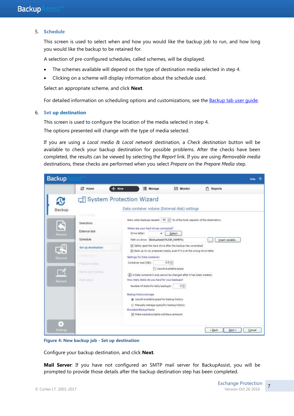#### 5. **Schedule**

This screen is used to select when and how you would like the backup job to run, and how long you would like the backup to be retained for.

A selection of pre-configured schedules, called schemes, will be displayed.

- The schemes available will depend on the type of destination media selected in step 4.
- Clicking on a scheme will display information about the schedule used.

Select an appropriate scheme, and click **Next**.

For detailed information on scheduling options and customizations, see the [Backup tab user guide.](http://www.backupassist.com/education/v9/backupassist/backup-tab-guide.html)

#### 6. **Set up destination**

This screen is used to configure the location of the media selected in step 4.

The options presented will change with the type of media selected.

If you are using a *Local media & Local network* destination, a *Check destination* button will be available to check your backup destination for possible problems. After the checks have been completed, the results can be viewed by selecting the *Report* link. If you are using *Removable media* destinations, these checks are performed when you select *Prepare* on the *Prepare Media* step.

| <b>Backup</b>                                      |                                                                                                                                   |                                                                                                                                                                                                                                                                                                                                                                                                                                                                                                                                                                                                                                                                                                                                                                                                                                        | Help<br>۰ |
|----------------------------------------------------|-----------------------------------------------------------------------------------------------------------------------------------|----------------------------------------------------------------------------------------------------------------------------------------------------------------------------------------------------------------------------------------------------------------------------------------------------------------------------------------------------------------------------------------------------------------------------------------------------------------------------------------------------------------------------------------------------------------------------------------------------------------------------------------------------------------------------------------------------------------------------------------------------------------------------------------------------------------------------------------|-----------|
|                                                    | <b>C</b> Home                                                                                                                     | $+$ New<br>Manage<br>Monitor<br><b>Reports</b><br>血                                                                                                                                                                                                                                                                                                                                                                                                                                                                                                                                                                                                                                                                                                                                                                                    |           |
| £.<br>Backup                                       |                                                                                                                                   | System Protection Wizard<br>Data container volume (External disk) settings                                                                                                                                                                                                                                                                                                                                                                                                                                                                                                                                                                                                                                                                                                                                                             |           |
| C<br>Restors<br>鸟<br><b>Recover</b><br>Remote<br>3 | Line tomm<br>Selections<br>External disk<br>Schedule<br>Set up destination<br>Figura mida<br>Name your backup<br><b>Niot must</b> | Warn when backups exceed   90   % of the total capacity of the destination.<br>Where are your hard drives connected?<br>Drive letter:<br>Detect<br>٠<br>Path on drive: 'BackupAssist\%JOB_NAME%\<br>Insert variable.<br>ш<br>Safely eject the hard drive after the backup has completed<br>U Back up to my prepared media, even if it is at the wrong drive letter<br>Settings for Data container:<br>$0.0 -$<br>Container size (GB):<br>Use all available space<br>(4) A Data container's size cannot be changed after it has been created.<br>How many disks do you have for your backups?<br>Number of disks for daily backups:<br>$2 - 1$<br>Backup history storage<br>W. Use all available space for backup history<br>Manually manage space for backup history<br>Bootable Backup Media<br>Make mediabootable with RecoverAssist |           |
| Settings                                           |                                                                                                                                   | $<$ Back<br>Next >                                                                                                                                                                                                                                                                                                                                                                                                                                                                                                                                                                                                                                                                                                                                                                                                                     | Cancel    |

**Figure 4: New backup job - Set up destination**

Configure your backup destination, and click **Next**.

**Mail Server**: If you have not configured an SMTP mail server for BackupAssist, you will be prompted to provide those details after the backup destination step has been completed.

7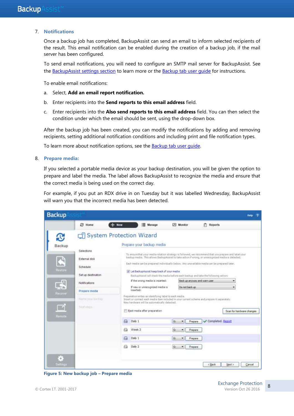#### 7. **Notifications**

Once a backup job has completed, BackupAssist can send an email to inform selected recipients of the result. This email notification can be enabled during the creation of a backup job, if the mail server has been configured.

To send email notifications, you will need to configure an SMTP mail server for BackupAssist. See the BackupAssist settings section to learn more or the Backup tab user quide for instructions.

To enable email notifications:

- a. Select, **Add an email report notification.**
- b. Enter recipients into the **Send reports to this email address** field.
- c. Enter recipients into the **Also send reports to this email address** field. You can then select the condition under which the email should be sent, using the drop-down box.

After the backup job has been created, you can modify the notifications by adding and removing recipients, setting additional notification conditions and including print and file notification types.

To learn more about notification options, see the **Backup tab user quide**.

#### 8. **Prepare media:**

If you selected a portable media device as your backup destination, you will be given the option to prepare and label the media. The label allows BackupAssist to recognize the media and ensure that the correct media is being used on the correct day.

For example, if you put an RDX drive in on Tuesday but it was labelled Wednesday, BackupAssist will warn you that the incorrect media has been detected.



**Figure 5: New backup job – Prepare media**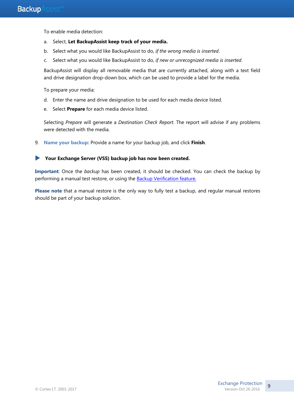To enable media detection:

- a. Select, **Let BackupAssist keep track of your media.**
- b. Select what you would like BackupAssist to do, *if the wrong media is inserted*.
- c. Select what you would like BackupAssist to do, *if new or unrecognized media is inserted*.

BackupAssist will display all removable media that are currently attached, along with a text field and drive designation drop-down box, which can be used to provide a label for the media.

To prepare your media:

- d. Enter the name and drive designation to be used for each media device listed.
- e. Select **Prepare** for each media device listed.

Selecting *Prepare* will generate a *Destination Check Report*. The report will advise if any problems were detected with the media.

9. **Name your backup:** Provide a name for your backup job, and click **Finish**.

#### **Your Exchange Server (VSS) backup job has now been created.**

**Important**: Once the *backup* has been created, it should be checked. You can check the backup by performing a manual test restore, or using the [Backup Verification feature.](http://www.backupassist.com/education/resources/backup-verification.html)

**Please note** that a manual restore is the only way to fully test a backup, and regular manual restores should be part of your backup solution.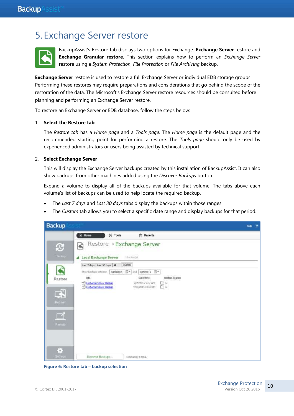# <span id="page-10-0"></span>5. Exchange Server restore



BackupAssist's Restore tab displays two options for Exchange: **Exchange Server** restore and **Exchange Granular restore**. This section explains how to perform an *Exchange Server*  restore using a *System Protection*, *File Protection* or *File Archiving* backup.

**Exchange Server** restore is used to restore a full Exchange Server or individual EDB storage groups. Performing these restores may require preparations and considerations that go behind the scope of the restoration of the data. The Microsoft's Exchange Server restore resources should be consulted before planning and performing an Exchange Server restore.

To restore an Exchange Server or EDB database, follow the steps below:

#### 1. **Select the Restore tab**

The *Restore tab* has a *Home page* and a *Tools page*. The *Home page* is the default page and the recommended starting point for performing a restore. The *Tools page* should only be used by experienced administrators or users being assisted by technical support.

#### 2. **Select Exchange Server**

This will display the Exchange Server backups created by this installation of BackupAssist. It can also show backups from other machines added using the *Discover Backups* button.

Expand a volume to display all of the backups available for that volume. The tabs above each volume's list of backups can be used to help locate the required backup.

- The *Last 7 days* and *Last 30 days* tabs display the backups within those ranges.
- The *Custom* tab allows you to select a specific date range and display backups for that period.



**Figure 6: Restore tab – backup selection**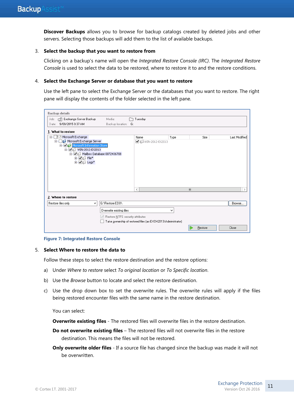**Discover Backups** allows you to browse for backup catalogs created by deleted jobs and other servers. Selecting those backups will add them to the list of available backups.

#### 3. **Select the backup that you want to restore from**

Clicking on a backup's name will open the *Integrated Restore Console (IRC)*. The *Integrated Restore Console* is used to select the data to be restored, where to restore it to and the restore conditions.

#### 4. **Select the Exchange Server or database that you want to restore**

Use the left pane to select the Exchange Server or the databases that you want to restore. The right pane will display the contents of the folder selected in the left pane.

| <b>Backup details</b>                                                                                                                                                              |                                  |   |                                                              |      |              |               |
|------------------------------------------------------------------------------------------------------------------------------------------------------------------------------------|----------------------------------|---|--------------------------------------------------------------|------|--------------|---------------|
| Exchange Server Backup<br>Job:                                                                                                                                                     | Media:                           |   | Tuesday                                                      |      |              |               |
| 9/09/2015 9:37 AM<br>Date:                                                                                                                                                         | Backup location: G:              |   |                                                              |      |              |               |
| 1. What to restore                                                                                                                                                                 |                                  |   |                                                              |      |              |               |
| Microsoft Exchange<br>$=$                                                                                                                                                          |                                  |   | Name                                                         | Type | Size         | Last Modified |
| Microsoft Exchange Server<br>Ė-<br>in Microsoft Information Store<br>D-VIII WIN-2012-EX2013<br>□ Mailbox Database 0072436708<br><b>E</b> √ Elle*<br><b>E</b> V D Logs <sup>*</sup> |                                  |   | ■ ■ WIN-2012-EX2013                                          |      |              |               |
|                                                                                                                                                                                    |                                  | ≺ |                                                              |      | $\mathbf{H}$ |               |
| 2. Where to restore                                                                                                                                                                |                                  |   |                                                              |      |              |               |
| Restore files only<br>٧                                                                                                                                                            | G:\Restore EDB\                  |   |                                                              |      |              | Browse        |
|                                                                                                                                                                                    | Overwrite existing files         |   |                                                              | ٧    |              |               |
|                                                                                                                                                                                    | Restore NTFS security attributes |   |                                                              |      |              |               |
|                                                                                                                                                                                    |                                  |   | Take ownership of restored files [as EXCH2013\Administrator] |      |              |               |
|                                                                                                                                                                                    |                                  |   |                                                              |      | Restore      | Close         |

**Figure 7: Integrated Restore Console**

#### 5. **Select Where to restore the data to**

Follow these steps to select the restore destination and the restore options:

- a) Under *Where to restore* select *To original location* or *To Specific location*.
- b) Use the *Browse* button to locate and select the restore destination.
- c) Use the drop down box to set the overwrite rules. The overwrite rules will apply if the files being restored encounter files with the same name in the restore destination.

You can select:

**Overwrite existing files** - The restored files will overwrite files in the restore destination.

- **Do not overwrite existing files** The restored files will not overwrite files in the restore destination. This means the files will not be restored.
- **Only overwrite older files** If a source file has changed since the backup was made it will not be overwritten.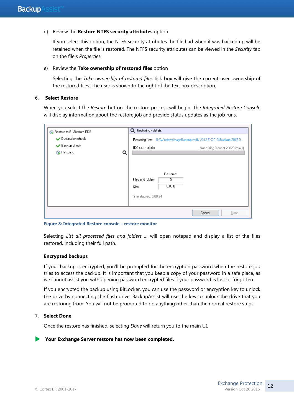#### d) Review the **Restore NTFS security attributes** option

If you select this option, the NTFS security attributes the file had when it was backed up will be retained when the file is restored. The NTFS security attributes can be viewed in the *Security* tab on the file's *Properties.*

#### e) Review the **Take ownership of restored files** option

Selecting the *Take ownership of restored files* tick box will give the current user ownership of the restored files. The user is shown to the right of the text box description.

#### 6. **Select Restore**

When you select the *Restore* button, the restore process will begin. The *Integrated Restore Console*  will display information about the restore job and provide status updates as the job runs.

| Restore to G:\Restore EDB<br>Destination check<br>Backup check<br>Restoring | Q | <b>Q</b> Restoring - details<br>0% complete          |                                   | Restoring from G:\WindowsImageBackup\WIN-2012-EX2013\Backup 2015-0<br>processing 0 out of 20820 item(s) |
|-----------------------------------------------------------------------------|---|------------------------------------------------------|-----------------------------------|---------------------------------------------------------------------------------------------------------|
|                                                                             |   | Files and folders:<br>Size:<br>Time elapsed: 0:00:24 | Restored:<br>$\mathbf 0$<br>0.00B |                                                                                                         |
|                                                                             |   |                                                      |                                   | Cancel<br>Done                                                                                          |

**Figure 8: Integrated Restore console – restore monitor**

Selecting *List all processed files and folders …* will open notepad and display a list of the files restored, including their full path.

#### **Encrypted backups**

If your backup is encrypted, you'll be prompted for the encryption password when the restore job tries to access the backup. It is important that you keep a copy of your password in a safe place, as we cannot assist you with opening password encrypted files if your password is lost or forgotten.

If you encrypted the backup using BitLocker, you can use the password or encryption key to unlock the drive by connecting the flash drive. BackupAssist will use the key to unlock the drive that you are restoring from. You will not be prompted to do anything other than the normal restore steps.

#### 7. **Select Done**

Once the restore has finished, selecting *Done* will return you to the main UI.

#### **Your Exchange Server restore has now been completed.**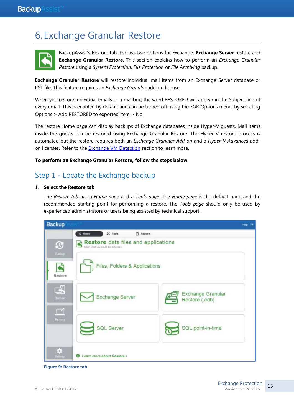# <span id="page-13-0"></span>6. Exchange Granular Restore



BackupAssist's Restore tab displays two options for Exchange: **Exchange Server** restore and **Exchange Granular Restore**. This section explains how to perform an *Exchange Granular Restore* using a *System Protection*, *File Protection* or *File Archiving* backup.

**Exchange Granular Restore** will restore individual mail items from an Exchange Server database or PST file. This feature requires an *Exchange Granular* add-on license.

When you restore individual emails or a mailbox, the word RESTORED will appear in the Subject line of every email. This is enabled by default and can be turned off using the EGR Options menu, by selecting Options > Add RESTORED to exported item > No.

The restore Home page can display backups of Exchange databases inside Hyper-V guests. Mail items inside the guests can be restored using Exchange Granular Restore. The Hyper-V restore process is automated but the restore requires both an *Exchange Granular Add-on* and a *Hyper-V Advanced* addon licenses. Refer to the [Exchange VM Detection](#page-3-0) section to learn more.

#### **To perform an Exchange Granular Restore, follow the steps below:**

# Step 1 - Locate the Exchange backup

#### 1. **Select the Restore tab**

The *Restore tab* has a *Home page* and a *Tools page*. The *Home page* is the default page and the recommended starting point for performing a restore. The *Tools page* should only be used by experienced administrators or users being assisted by technical support.



**Figure 9: Restore tab**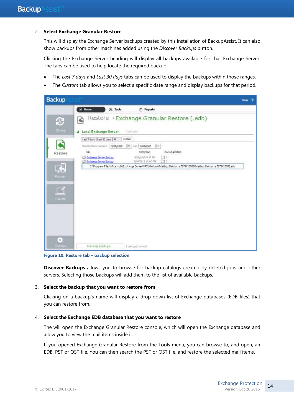#### 2. **Select Exchange Granular Restore**

This will display the Exchange Server backups created by this installation of BackupAssist. It can also show backups from other machines added using the *Discover Backups* button.

Clicking the Exchange Server heading will display all backups available for that Exchange Server. The tabs can be used to help locate the required backup.

- The *Last 7 days* and *Last 30 days* tabs can be used to display the backups within those ranges.
- The *Custom* tab allows you to select a specific date range and display backups for that period.



**Figure 10: Restore tab – backup selection**

**Discover Backups** allows you to browse for backup catalogs created by deleted jobs and other servers. Selecting those backups will add them to the list of available backups.

#### 3. **Select the backup that you want to restore from**

Clicking on a backup's name will display a drop down list of Exchange databases (EDB files) that you can restore from.

#### 4. **Select the Exchange EDB database that you want to restore**

The will open the Exchange Granular Restore console, which will open the Exchange database and allow you to view the mail items inside it.

If you opened Exchange Granular Restore from the Tools menu, you can browse to, and open, an EDB, PST or OST file. You can then search the PST or OST file, and restore the selected mail items.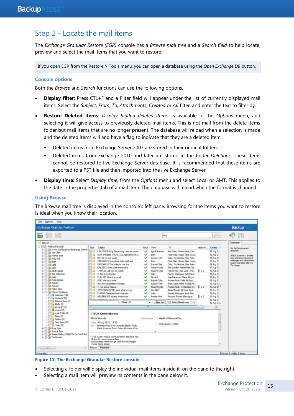### Step 2 - Locate the mail items

The *Exchange Granular Restore (EGR)* console has a *Browse mail tree* and a *Search field* to help locate, preview and select the mail items that you want to restore.

If you open EGR from the Restore > Tools menu, you can open a database using the *Open Exchange DB* button.

#### **Console options**

Both the *Browse* and *Search* functions can use the following options.

- **Display filter**: Press CTL+F and a Filter field will appear under the list of currently displayed mail items. Select the *Subject*, *From*, *To*, *Attachments*, *Created* or *All* filter, and enter the text to filter by.
- **Restore Deleted items**: *Display hidden deleted items*, is available in the *Options* menu, and selecting it will give access to previously deleted mail items. This is not mail from the delete items folder but mail items that are no longer present. The database will reload when a selection is made and the deleted items will and have a flag to indicate that they are a deleted item.
	- Deleted items from Exchange Server 2007 are stored in their original folders.
	- Deleted items from Exchange 2010 and later are stored in the folder *Deletions*. These items cannot be restored to live Exchange Server database. It is recommended that these items are exported to a PST file and then imported into the live Exchange Server.
- **Display time:** Select *Display time*, from the *Options* menu and select Local or GMT. This applies to the date in the properties tab of a mail item. The database will reload when the format is changed.

#### **Using Browse**

The Browse mail tree is displayed in the console's left pane. Browsing for the items you want to restore is ideal when you know their location.

| Ele<br>Options<br>Help                                                                                                                                                                                                                                                                                                                                                                                                                           |                                                                                                                                                                                                                                                                                                                                                                                                                                                                                                                                                                                                                                                                         |                                                                                                                                        |                                                                                                                                                        |                                                                                                                                                                                                                                                                                                                                                                                                                                                                                              |             |                                                                                                                                                                                                              |                                                                                                                                              |
|--------------------------------------------------------------------------------------------------------------------------------------------------------------------------------------------------------------------------------------------------------------------------------------------------------------------------------------------------------------------------------------------------------------------------------------------------|-------------------------------------------------------------------------------------------------------------------------------------------------------------------------------------------------------------------------------------------------------------------------------------------------------------------------------------------------------------------------------------------------------------------------------------------------------------------------------------------------------------------------------------------------------------------------------------------------------------------------------------------------------------------------|----------------------------------------------------------------------------------------------------------------------------------------|--------------------------------------------------------------------------------------------------------------------------------------------------------|----------------------------------------------------------------------------------------------------------------------------------------------------------------------------------------------------------------------------------------------------------------------------------------------------------------------------------------------------------------------------------------------------------------------------------------------------------------------------------------------|-------------|--------------------------------------------------------------------------------------------------------------------------------------------------------------------------------------------------------------|----------------------------------------------------------------------------------------------------------------------------------------------|
| Exchange Granular Restore                                                                                                                                                                                                                                                                                                                                                                                                                        |                                                                                                                                                                                                                                                                                                                                                                                                                                                                                                                                                                                                                                                                         |                                                                                                                                        |                                                                                                                                                        |                                                                                                                                                                                                                                                                                                                                                                                                                                                                                              |             |                                                                                                                                                                                                              | Backup                                                                                                                                       |
|                                                                                                                                                                                                                                                                                                                                                                                                                                                  |                                                                                                                                                                                                                                                                                                                                                                                                                                                                                                                                                                                                                                                                         |                                                                                                                                        |                                                                                                                                                        | king                                                                                                                                                                                                                                                                                                                                                                                                                                                                                         |             | $\overline{\mathcal{P}}$ +                                                                                                                                                                                   |                                                                                                                                              |
| Browse<br>CL Maillion Data mills<br>÷                                                                                                                                                                                                                                                                                                                                                                                                            | Subject<br>Type                                                                                                                                                                                                                                                                                                                                                                                                                                                                                                                                                                                                                                                         | Statut<br>From                                                                                                                         |                                                                                                                                                        | Tm.                                                                                                                                                                                                                                                                                                                                                                                                                                                                                          | Attachim.   | Created                                                                                                                                                                                                      | Destruction<br>No Exchange server                                                                                                            |
| iii - 1 / / / / / / / No Such Email bu - Eachange Admin.<br>iii - Alex Clark<br>Andrew Wall<br>æ.<br><b>Prichy Kort</b><br>⊕<br><b>Black</b><br><b>Call</b><br>œ<br><b>Call John</b><br>œ.<br>A Juled Capulot<br><b>Call Kyle Pakaman</b><br><b>Call Lates</b><br>÷<br>Hara Woods<br>₩<br>亩<br><b>Blichard</b><br><b>Fichard</b><br>₩<br>in Tirol Robert Roe<br>11-111 Forveo Montague<br>Calendar (138)<br>A. Cordacts (56)<br>Deleted hera (I) | 百合<br>CASSANDRA Cry Troyans cry Land me ten th.<br>而由<br>AJAX Therstes THERSITES Aganemon ha<br>門班<br>BOY Sy my lord would<br>門田<br><b>FANDARUS Asses fools dolls chaff and</b><br><b>CTT Ave</b><br>PANDARUS That's Hector that that<br>四曲<br>CRESSEA Who were those wert<br>門目<br>TROILUS Call here my variet.<br>門田<br>in Tray there les the<br>門目<br>PUBLIUS What is your will<br>門台<br>KING Wie lost a jewel<br>門面<br>How now good fellow Wouldet<br>PT ME<br><b>TITUS Come Mercure</b><br>門宮<br>SATURNINUS Why lords what wrongs<br><b>ITT</b> Eat<br>CHIRON Demetrus here's the son<br>pro<br>MESSENGER Worthy Andronous<br>画<br>A material from the contract of | v<br>Blon<br>v<br>v<br><b>Brunt</b><br>v<br>v<br>v<br>Dake<br>v<br>$\checkmark$<br>Richard<br>v<br>v<br>v<br>v<br><b>Thelia</b><br>ممه | Kyle Palceman<br>Superior Tyler<br>Susane Tyler<br>Marta Woods:<br>Matu Woods<br>Susane Tyler<br>Susane Tyler<br>Maria Woods<br>Nex Dark<br>Andrew Wat | Alex Clark: Andrew Watt: Dail<br>Rudy Raid: Robert Rise: Susa.<br>Dalix Tim Goodler: Kyle Palce.<br>Fludy Raid, Robert Floe; Suite<br>Dala: Tim Gooder: Rule Pake<br>Tire Gooder: Fishert Films: Kat.<br>Robert Roo . Alex Clark . Andr<br>Romeo Montague: Kyle Paker<br>Kyle Pakerman: Matta Woods.<br>Andrew Wat: Daka Richard<br>Brian: Coda: Maga Woods: FE.<br>Anthew Wat: Tim Gooder: D., E = 2<br>Maria Woods: Michael: Andy<br>Romeo Montague: Andy Kort<br>Fichard: Ronao Montague: | 8.12<br>6x2 | 16 Aug 21<br>16 Aug 21<br>16 Aug 21<br>16 Aug 21<br>16 Aug 21<br>16 Aug 20<br>16 Aug 21<br>16 Aug 26<br>16 Aug 21<br>16 Aug 21<br>16 Aug 21<br>16 Aug 21<br>16 Aug 21<br>16 Aug 20<br>16 Aug 21<br>16 Aug 21 | stached.<br>Attachi a server to enable<br>dreg-wid-drop injection of<br>messages and folders from<br>lource mail dore into live<br>Exchange. |
| <b>The Drafts (D)</b><br><b>TEL: Inbox (2115)</b><br><b>B</b> Jons 0<br>THE AVK E Mal (D)<br>Notes (D)<br><b>City Outlook</b><br><b>The Sent hams (20)</b><br><b>Collins</b> Tasket (0)<br><b>Fig. Rady Raid</b><br>Susane Tuler<br>J. SystemMalbox(75d3a78c-3e71-42c3-aE)<br>III Tim Gooder<br><b>Killenmark</b>                                                                                                                                | When All<br>×1<br><b>TITUS Come Marcus</b><br>Maria Woods<br>Dale: 16 Aug 2012, 18:32<br>Andrew Wait Tim Goodler; Dalia: Rudy<br>Ter.<br>Staid Greenes Trian John Michael Kyle<br>TITUS. Cone: Marcue, cone: kinenen. the a the way.<br>Sir boy, let no see your archery;<br>Look ye draw home enough, and facthers straight.<br>Tenas Adres religiat.<br>Perstew. Properties                                                                                                                                                                                                                                                                                           | m.<br><b><i>Ittachments</i></b>                                                                                                        | Filter On.<br>ü                                                                                                                                        | Select Mured kerry<br>×<br>Weath of Nations 651.bit.<br>Shillespage-1651.bt                                                                                                                                                                                                                                                                                                                                                                                                                  |             | 16 Aug 21 -<br>a<br>۰                                                                                                                                                                                        |                                                                                                                                              |
| Completed                                                                                                                                                                                                                                                                                                                                                                                                                                        |                                                                                                                                                                                                                                                                                                                                                                                                                                                                                                                                                                                                                                                                         |                                                                                                                                        |                                                                                                                                                        |                                                                                                                                                                                                                                                                                                                                                                                                                                                                                              |             |                                                                                                                                                                                                              | Selected: 0 nodes, 0 items                                                                                                                   |



- Selecting a folder will display the individual mail items inside it, on the pane to the right.
- Selecting a mail item will preview its contents in the pane below it.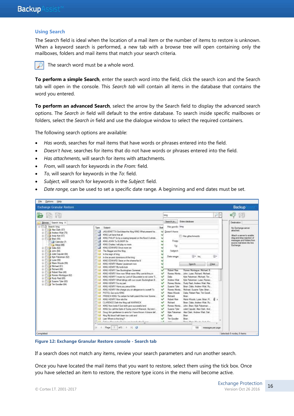#### **Using Search**

The Search field is ideal when the location of a mail item or the number of items to restore is unknown. When a keyword search is performed, a new tab with a browse tree will open containing only the mailboxes, folders and mail items that match your search criteria.



The search word must be a whole word.

**To perform a simple Search**, enter the search word into the field, click the search icon and the Search tab will open in the console. This *Search tab* will contain all items in the database that contains the word you entered.

**To perform an advanced Search**, select the arrow by the Search field to display the advanced search options. The *Search in* field will default to the entire database. To search inside specific mailboxes or folders, select the *Search in* field and use the dialogue window to select the required containers.

The following search options are available:

- *Has words,* searches for mail items that have words or phrases entered into the field.
- *Doesn't have*, searches for items that do not have words or phrases entered into the field.
- *Has attachments*, will search for items with attachments.
- *From*, will search for keywords in *the From:* field.
- *To*, will search for keywords in the *To*: field.
- *Subject*, will search for keywords in the *Subject*: field.
- *Date range,* can be used to set a specific date range. A beginning and end dates must be set.

| Exchange Granular Restore                                                                                                                                                                                                                                                                                                                                                                                                                                                                    |                                                                                                                                                                                                                                                                                                                                                                                                                                                                                                                                                                                                                                                                                                                                                                                                                                                                                                                                                                                                                                                                                                                                                                                                                                                                                                                                                                                                                                                      |                                                                                        |                                                                                                                                                                                                                                                                                                               |                                                                                                                                                                                                                                                                                                                                                                                                                                                                                                                                                                                                                  | Backup                                                                                                                                                                |
|----------------------------------------------------------------------------------------------------------------------------------------------------------------------------------------------------------------------------------------------------------------------------------------------------------------------------------------------------------------------------------------------------------------------------------------------------------------------------------------------|------------------------------------------------------------------------------------------------------------------------------------------------------------------------------------------------------------------------------------------------------------------------------------------------------------------------------------------------------------------------------------------------------------------------------------------------------------------------------------------------------------------------------------------------------------------------------------------------------------------------------------------------------------------------------------------------------------------------------------------------------------------------------------------------------------------------------------------------------------------------------------------------------------------------------------------------------------------------------------------------------------------------------------------------------------------------------------------------------------------------------------------------------------------------------------------------------------------------------------------------------------------------------------------------------------------------------------------------------------------------------------------------------------------------------------------------------|----------------------------------------------------------------------------------------|---------------------------------------------------------------------------------------------------------------------------------------------------------------------------------------------------------------------------------------------------------------------------------------------------------------|------------------------------------------------------------------------------------------------------------------------------------------------------------------------------------------------------------------------------------------------------------------------------------------------------------------------------------------------------------------------------------------------------------------------------------------------------------------------------------------------------------------------------------------------------------------------------------------------------------------|-----------------------------------------------------------------------------------------------------------------------------------------------------------------------|
|                                                                                                                                                                                                                                                                                                                                                                                                                                                                                              |                                                                                                                                                                                                                                                                                                                                                                                                                                                                                                                                                                                                                                                                                                                                                                                                                                                                                                                                                                                                                                                                                                                                                                                                                                                                                                                                                                                                                                                      |                                                                                        | king.                                                                                                                                                                                                                                                                                                         | 河り                                                                                                                                                                                                                                                                                                                                                                                                                                                                                                                                                                                                               |                                                                                                                                                                       |
| Bowse Search long %                                                                                                                                                                                                                                                                                                                                                                                                                                                                          |                                                                                                                                                                                                                                                                                                                                                                                                                                                                                                                                                                                                                                                                                                                                                                                                                                                                                                                                                                                                                                                                                                                                                                                                                                                                                                                                                                                                                                                      |                                                                                        | Search in                                                                                                                                                                                                                                                                                                     | Entire database                                                                                                                                                                                                                                                                                                                                                                                                                                                                                                                                                                                                  | Destrusion                                                                                                                                                            |
| El-Fill 29 Search: king<br>ili - 11 19 Alex Clark (57)<br># 11 Archew Wat (75)<br>Andy Kert (57)<br>÷<br>白 门 海 [Nan 85]<br><b>Calendar (7)</b><br>a hiber (48)<br>31-111-9 Data 62<br><b>Eliza John (54)</b><br>Adet Capulet (54)<br>Alle Pakeman (52)<br>Lea Lugo (58)<br>Tillal Maria Woods (59)<br>F11 # Michael (E1)<br>亩<br>11 Richard (53)<br>事<br>Fig. Robert Ree (40)<br>审<br>审<br>Trial Romeo Montague (62)<br>Hudy Raid (65)<br>垂<br>Susane Tyler (63)<br>u.<br>u) I'm Gooder (64) | Subject<br>Tipe<br>JAGUENETTA God bleasthe King KING What present ha.<br>ш<br>KING Let fave that all<br>- 13<br>KONG PHILIP So by a roamg tempest on the flood A whole<br>讍<br>KING JOHN To ELINDR So<br>瑘<br>43NG Charles I will play no more<br>三国<br>KING EDWARD Grow more we<br>同日<br>The Begger and the King<br>四倍<br>In the reign of king<br>日日<br>In the ancient dominions of the king<br>FILL<br>KING EDWARD Selze on the shame facid<br>門店<br>KING HENRY Master Lieutenant now<br><b>CT LIS</b><br>#0NG FIERRY My lards look<br>四品<br>KINS HENRY See Buckingham Someraet<br>四曲<br>KING HENRY How new What news Why comist thouse.<br>2763<br>KING HENRY I muse ny Lord of Gloucester is not come Ti.<br>門田<br>KING HENRY What Idings with our cousin Buckingham II.<br>河田<br>KING HENRY For my part<br>門面<br>KING HENRY Have you perund the<br>門田<br>#3NG HENRY We charge you on allegance to auge! To<br><b>FILE</b> PISTOL Qui ve la KING<br>門田<br>FRENCH KING Tie certain he hath pass/ditte nver Somme.<br>日は<br>KING HENRY Now sits the<br>門頭<br>CLARENCE Deb the King call WARWICK<br>HE HE KING Now longs if God doth give successful and<br>目前<br>KING Go call the Earls of Surrey and of Warwick: But ere t.<br>門田<br>Doug Am gentlemen to area for I have thrown A brave def.<br>[11 List King My blood hath hours too cold and<br>Law Where is this king?-<br>177 EX. Todays, Howard & Dummered interfacility (Lanes,<br># Liste | Shell<br>✓<br>✓<br>◡<br>U<br>ی<br>◡<br>୰<br>س<br>v<br>$\checkmark$<br>v<br>v<br>س<br>◡ | Has words: king<br>Doesn't have:<br>From:<br>Tai<br>Subjecti<br>Date range:<br><b>Robert Res</b><br>Dalla<br>Andrew Walt<br>Rames Morta<br>Susane Taler<br>Romeo Morte.<br>Mana Woods<br>Rehard<br><b>Nationt Review</b><br>Richard<br>Romeo Monta<br>Susane Tider<br>Dallar<br>Tan Goodler<br>×<br>$3 - 3 -$ | His attachments<br>同* tap<br>面+<br>Clear:<br><b>Search</b><br>Romeo Montague: Michael III<br>Romes Monte John: Luxe: Richard, Michael.<br>Kide Pakieman: Michael: Tint<br>Kyle Pakeeman: Luise; Romeo.<br>Rudy Reid: Andrew West: Mar.<br>Bran, Dalla: Andrew Wall: Ru-<br>Mchael; Susane Tyler; Blan:<br>Date: Robert Rise: Tim Good<br>Brain<br>Maria Woods: Luise: Brian: FL. B. H.<br>Bran: Dalix: Andrew Wat: Fig.<br>John; Bran: Kyle Pakerman:<br>Juliet Capulet: Alex Clark: And.<br>Kyle Painerman  Alex Clark: Andrew Wat: Dail.<br><b>Briants</b><br><b>Bran</b><br>Dann, Marte, West St.; Suite Upt. | No Eschange server<br>attached.<br>Attach a server in enable<br>drag-and-drap injection of<br>inessages and folders from<br>equippe mud atons into live.<br>Exchange. |

**Figure 12: Exchange Granular Restore console - Search tab**

If a search does not match any items, review your search parameters and run another search.

Once you have located the mail items that you want to restore, select them using the tick box. Once you have selected an item to restore, the restore type icons in the menu will become active.

16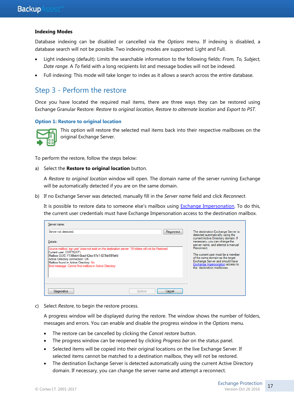#### **Indexing Modes**

Database indexing can be disabled or cancelled via the *Options* menu. If indexing is disabled, a database search will not be possible. Two indexing modes are supported: Light and Full.

- Light indexing (default): Limits the searchable information to the following fields: *From, To, Subject, Date range*. A *To* field with a long recipients list and message bodies will not be indexed.
- Full indexing: This mode will take longer to index as it allows a search across the entire database.

### Step 3 - Perform the restore

Once you have located the required mail items, there are three ways they can be restored using Exchange Granular Restore: *Restore to original location, Restore to alternate location* and *Export to PST.* 

#### **Option 1: Restore to original location**



This option will restore the selected mail items back into their respective mailboxes on the original Exchange Server.

To perform the restore, follow the steps below:

#### a) Select the **Restore to original location** button.

A *Restore to original location* window will open. The domain name of the server running Exchange will be automatically detected if you are on the same domain.

b) If no Exchange Server was detected, manually fill in the *Server name* field and click *Reconnect*.

It is possible to restore data to someone else's mailbox using [Exchange Impersonation.](http://www.backupassist.com/education/resources/egr_impersonation.html) To do this, the current user credentials must have Exchange Impersonation access to the destination mailbox.

| Server name:                                                                                                                                                                                                                                                                                                                |         |           |                                                                                                                                                                                          |
|-----------------------------------------------------------------------------------------------------------------------------------------------------------------------------------------------------------------------------------------------------------------------------------------------------------------------------|---------|-----------|------------------------------------------------------------------------------------------------------------------------------------------------------------------------------------------|
| Server not detected.                                                                                                                                                                                                                                                                                                        |         | Reconnect | The destination Exchange Server is<br>detected automatically using the<br>current Active Directory domain. If                                                                            |
| Details:                                                                                                                                                                                                                                                                                                                    |         |           | necessary, you can change the<br>server name, and attempt a manual                                                                                                                       |
| Source mailbox 'egr user' does not exist on the destination server: 19 folders will not be Restored.<br>Current user: CORTEXIT\<br>Mailbox GUID: f136feb4-0bad-42ea-97e1-927bb65f5efd<br>Active Directory connection: OK<br>Mailbox found in Active Directory: No<br>Error message: Cannot find mailbox in Active Directory |         |           | Reconnect.<br>The current user must be a member<br>of the same domain as the target<br>Exchange Server and should have<br>Exchange Impersonation access to<br>the destination mailboxes. |
|                                                                                                                                                                                                                                                                                                                             |         |           |                                                                                                                                                                                          |
| <b>Diagnostics</b>                                                                                                                                                                                                                                                                                                          | Restore | Cancel    |                                                                                                                                                                                          |

c) Select *Restore*, to begin the restore process.

A progress window will be displayed during the restore. The window shows the number of folders, messages and errors. You can enable and disable the progress window in the *Options* menu.

- The restore can be cancelled by clicking the *Cancel restore* button.
- The progress window can be reopened by clicking *Progress bar* on the status panel.
- Selected items will be copied into their original locations on the live Exchange Server. If selected items cannot be matched to a destination mailbox, they will not be restored.
- The destination Exchange Server is detected automatically using the current Active Directory domain. If necessary, you can change the server name and attempt a reconnect.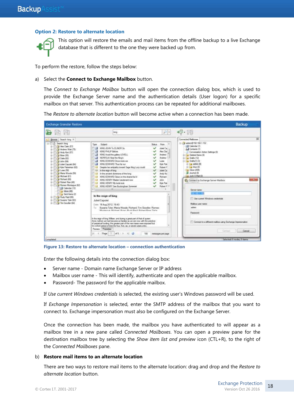#### **Option 2: Restore to alternate location**



This option will restore the emails and mail items from the offline backup to a live Exchange database that is different to the one they were backed up from.

To perform the restore, follow the steps below:

#### a) Select the **Connect to Exchange Mailbox** button.

The *Connect to Exchange Mailbox* button will open the connection dialog box, which is used to provide the Exchange Server name and the authentication details (User logon) for a specific mailbox on that server. This authentication process can be repeated for additional mailboxes.

The *Restore to alternate location* button will become active when a connection has been made.

| 461 - EN<br>$D =$<br>kelo.<br>Connected Malboxes<br>Browse: Search: king X<br>- Cal adren@ 192,168.1.152<br>- El D. Search: king<br><b>Subject</b><br>From<br>Type.<br><b>Ratus</b><br>Calendar (1)<br>Mex Clark (57)<br>岾<br>KING JOHN To ELINOR Se<br>Adot Cal<br>GB.<br><b>J.J.</b> Cortacts (1)<br>Fill Andrew Walt (75)<br>HI KING PHILIP Before<br><b>Nex Clar</b><br>Conversation Acker Settings (8)<br>Andy Kot (57)<br><b>STEP</b><br>KING Avoid the gallery LOVELL<br>Andrew<br>15 Cat Deleted berns (4)<br>LOB finan (SS)<br>審<br>(2) NORFOLK Hear the Ningh<br>Andrew<br>6-1 Drafts (12)<br>Code 820<br>审<br><b>STEP</b><br>KING EDWARD Once more we<br>w<br>Drefts(1) (3)<br>Loter<br>all adm (54)<br>审                                                                                                                                                                                                                                                                                                                                                                                                                                                                                                                                                                                                                                                                                                                                                                                                                                                                                                                                                                                                                   |                                                                                                                                      |
|----------------------------------------------------------------------------------------------------------------------------------------------------------------------------------------------------------------------------------------------------------------------------------------------------------------------------------------------------------------------------------------------------------------------------------------------------------------------------------------------------------------------------------------------------------------------------------------------------------------------------------------------------------------------------------------------------------------------------------------------------------------------------------------------------------------------------------------------------------------------------------------------------------------------------------------------------------------------------------------------------------------------------------------------------------------------------------------------------------------------------------------------------------------------------------------------------------------------------------------------------------------------------------------------------------------------------------------------------------------------------------------------------------------------------------------------------------------------------------------------------------------------------------------------------------------------------------------------------------------------------------------------------------------------------------------------------------------------------------------|--------------------------------------------------------------------------------------------------------------------------------------|
|                                                                                                                                                                                                                                                                                                                                                                                                                                                                                                                                                                                                                                                                                                                                                                                                                                                                                                                                                                                                                                                                                                                                                                                                                                                                                                                                                                                                                                                                                                                                                                                                                                                                                                                                        |                                                                                                                                      |
| KING FOWARD Thus far our<br>8 Ca advis (0)<br>$\checkmark$<br>Kile Pali<br>170 Adut Capulet (64)<br>Si-Cita Mue 03<br>159 Kyle Pakeman (62)<br><b>COLOR</b><br>v<br><b>Robert F</b><br>Despite her antipidity toward Sage King Lucy could<br><b>Dal Inbox (26%)</b><br>is in the regn of king.<br>11-11-120 Luke (58)<br>Julet Car<br>(i) learned (ii)<br><b>LOB Maria Woods (5th)</b><br>In the ancient dominions of the king<br>宙<br>Andy Ka<br>a Junk E-Mail (O)<br><b>Ing Michael (E1)</b><br>宙<br>門白<br>KING EDWARD Sept on the share fac'd<br>Rehard<br><b>ISB Flichard (ED)</b><br>宙<br>門田<br>KING HENRY Master Lieutenant now<br>John.<br>Connect to Exchange Server Mailbox<br>Fig Fiched Rea (40)<br>IT IS KING HENRY My lards look<br>Kide Palk<br>S-ELIS Romeo Montague (62)<br><b>TTE</b><br>KING HENRY See Budangham Sommont<br>v.<br>Robert E =<br>Galendar (12)<br>Flash industrial Bultimore<br>Server name.<br>h Inbox (48)<br><b>HEARTH AND</b><br>Sent frena (2)<br>In the reign of king<br>Party Real 650<br>Like current Windows credentials<br>Susane Tyler (63)<br>Juliet Capulet<br>iii- 11:13 Tim Gooder (64)<br>Malbox user name:<br>Date: 16 Aug 2012, 18:43.<br>admin<br>T= Susana Tyler, Maria Woods: Richard: Tim Goodler, Romeo-<br>Montanue Michael Boxe Budy Daid Bohast Dies: Dala-<br>Password<br>In the reign of king William, and during a great part of that of queen.<br>Anne, before we had become so familiar as we are now with the practice<br>of petostual funding. The greater part of the new taxes were imposed but<br>for a short period of time ifor four, five, six, or seven years only),<br>Preview Properties<br>Page 1 af1 P H U<br>16<br>100<br>messages per page<br>Completed | <b>County</b><br>Connect to a different malbox using Exchange Inpersonation<br><b>Contact</b><br>Cancel<br>Selected: 0 nodes 0 items |

**Figure 13: Restore to alternate location – connection authentication**

Enter the following details into the connection dialog box:

- Server name Domain name Exchange Server or IP address
- Mailbox user name This will identify, authenticate and open the applicable mailbox.
- Password- The password for the applicable mailbox.

If *Use current Windows credentials* is selected, the existing user's Windows password will be used.

If *Exchange Impersonation* is selected, enter the SMTP address of the mailbox that you want to connect to. Exchange impersonation must also be configured on the Exchange Server.

Once the connection has been made, the mailbox you have authenticated to will appear as a mailbox tree in a new pane called *Connected Mailboxes*. You can open a preview pane for the destination mailbox tree by selecting the *Show item list and preview* icon (CTL+R), to the right of the *Connected Mailboxes* pane.

#### b) **Restore mail items to an alternate location**

There are two ways to restore mail items to the alternate location: drag and drop and the *Restore to alternate location* button.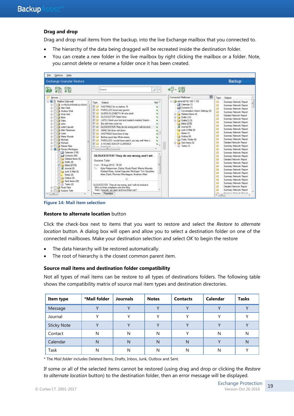#### **Drag and drop**

Drag and drop mail items from the backup, into the live Exchange mailbox that you connected to.

- The hierarchy of the data being dragged will be recreated inside the destination folder.
- You can create a new folder in the live mailbox by right clicking the mailbox or a folder. Note, you cannot delete or rename a folder once it has been created.



**Figure 14: Mail item selection**

#### **Restore to alternate location** button

Click the check-box next to items that you want to restore and select the *Restore to alternate location* button. A dialog box will open and allow you to select a destination folder on one of the connected mailboxes. Make your destination selection and select *OK* to begin the restore

- The data hierarchy will be restored automatically.
- The root of hierarchy is the closest common parent item.

#### **Source mail items and destination folder compatibility**

Not all types of mail items can be restore to all types of destinations folders. The following table shows the compatibility matrix of source mail item types and destination directories.

| Item type          | *Mail folder | <b>Journals</b> | <b>Notes</b> | <b>Contacts</b> | <b>Calendar</b> | <b>Tasks</b> |
|--------------------|--------------|-----------------|--------------|-----------------|-----------------|--------------|
| Message            | $\checkmark$ |                 | $\mathbf{v}$ |                 |                 | $\mathbf{v}$ |
| Journal            | v            | v               |              |                 | v               |              |
| <b>Sticky Note</b> |              |                 |              |                 | $\mathbf{v}$    |              |
| Contact            | N            | N               | N            |                 | N               | N            |
| Calendar           | N            | N               | N            | N               |                 | N            |
| Task               | N            | N               | N            | N               | N               |              |

\* The *Mail folder* includes Deleted Items, Drafts, Inbox, Junk, Outbox and Sent.

If some or all of the selected items cannot be restored (using drag and drop or clicking the *Restore to alternate location* button) to the destination folder, then an error message will be displayed.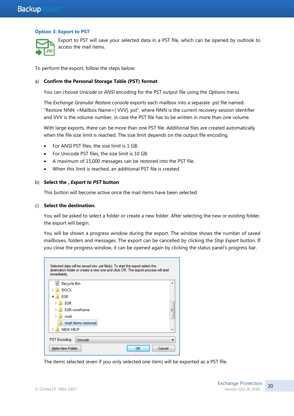#### **Option 3: Export to PST**



Export to PST will save your selected data in a PST file, which can be opened by outlook to access the mail items.

To perform the export, follow the steps below:

#### a) **Confirm the Personal Storage Table (PST) format**

You can choose *Unicode* or *ANSI* encoding for the PST output file using the *Options* menu.

The *Exchange Granular Restore* console exports each mailbox into a separate .pst file named: "Restore NNN <Mailbox Name>[ VVV]. pst", where NNN is the current recovery session identifier and VVV is the volume number, in case the PST file has to be written in more than one volume.

With large exports, there can be more than one PST file. Additional files are created automatically when the file size limit is reached. The size limit depends on the output file encoding.

- For ANSI PST files, the size limit is 1 GB.
- For Unicode PST files, the size limit is 10 GB.
- A maximum of 15,000 messages can be restored into the PST file.
- When this limit is reached, an additional PST file is created.

#### b) **Select the ,** *Export to PST* **button**

This button will become active once the mail items have been selected.

#### c) **Select the destination.**

You will be asked to select a folder or create a new folder. After selecting the new or existing folder, the export will begin.

You will be shown a progress window during the export. The window shows the number of saved mailboxes, folders and messages. The export can be cancelled by clicking the *Stop Export* button. If you close the progress window, it can be opened again by clicking the status panel's progress bar.

| Selected data will be saved into .pst file(s). To start the export select the<br>destination folder or create a new one and click OK. The export process will start<br>immediately. |              |
|-------------------------------------------------------------------------------------------------------------------------------------------------------------------------------------|--------------|
| <b>Recycle Bin</b>                                                                                                                                                                  |              |
| <b>DOCS</b>                                                                                                                                                                         |              |
| EGR                                                                                                                                                                                 |              |
| <b>EGR</b>                                                                                                                                                                          |              |
| <b>EGR-wireframe</b>                                                                                                                                                                | Ξ            |
| mail                                                                                                                                                                                |              |
| mail items restored                                                                                                                                                                 |              |
| <b>NEW HELP</b>                                                                                                                                                                     |              |
| <b>PST</b> Encoding:<br>Unicode                                                                                                                                                     |              |
| <b>Make New Folder</b>                                                                                                                                                              | Cancel<br>ОК |

The items selected (even if you only selected one item) will be exported as a PST file.